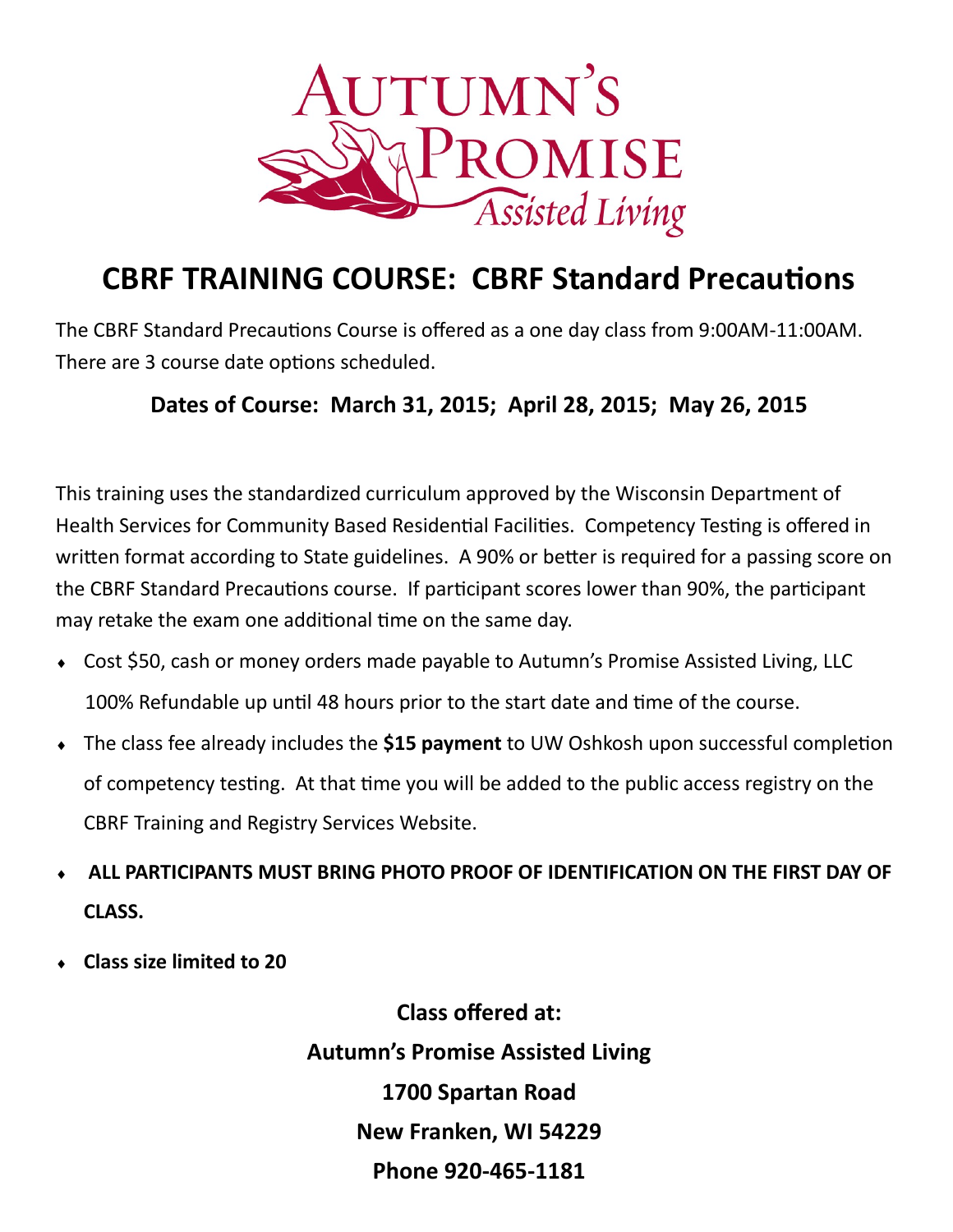

## **CBRF TRAINING COURSE: CBRF Standard Precautions**

The CBRF Standard Precautions Course is offered as a one day class from 9:00AM-11:00AM. There are 3 course date options scheduled.

## **Dates of Course: March 31, 2015; April 28, 2015; May 26, 2015**

This training uses the standardized curriculum approved by the Wisconsin Department of Health Services for Community Based Residential Facilities. Competency Testing is offered in written format according to State guidelines. A 90% or better is required for a passing score on the CBRF Standard Precautions course. If participant scores lower than 90%, the participant may retake the exam one additional time on the same day.

- Cost \$50, cash or money orders made payable to Autumn's Promise Assisted Living, LLC 100% Refundable up until 48 hours prior to the start date and time of the course.
- The class fee already includes the **\$15 payment** to UW Oshkosh upon successful completion of competency testing. At that time you will be added to the public access registry on the CBRF Training and Registry Services Website.
- **ALL PARTICIPANTS MUST BRING PHOTO PROOF OF IDENTIFICATION ON THE FIRST DAY OF CLASS.**
- **Class size limited to 20**

**Class offered at: Autumn's Promise Assisted Living 1700 Spartan Road New Franken, WI 54229 Phone 920-465-1181**